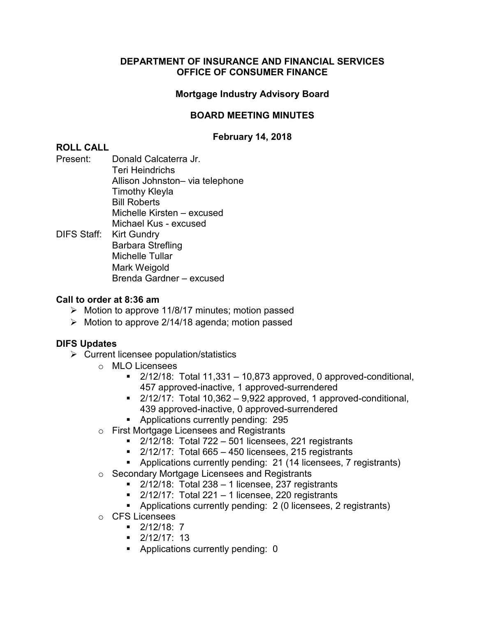## **Mortgage Industry Advisory Board**

## **BOARD MEETING MINUTES**

## **February 14, 2018**

## **ROLL CALL**

- Present: Donald Calcaterra Jr. Teri Heindrichs Allison Johnston– via telephone Timothy Kleyla Bill Roberts Michelle Kirsten – excused Michael Kus - excused
- DIFS Staff: Kirt Gundry Barbara Strefling Michelle Tullar Mark Weigold Brenda Gardner – excused

#### **Call to order at 8:36 am**

- $\triangleright$  Motion to approve 11/8/17 minutes; motion passed
- $\triangleright$  Motion to approve 2/14/18 agenda; motion passed

- $\triangleright$  Current licensee population/statistics
	- o MLO Licensees
		- $\blacksquare$  2/12/18: Total 11,331 10,873 approved, 0 approved-conditional, 457 approved-inactive, 1 approved-surrendered
		- $\blacksquare$  2/12/17: Total 10,362 9,922 approved, 1 approved-conditional, 439 approved-inactive, 0 approved-surrendered
		- **Applications currently pending: 295**
	- o First Mortgage Licensees and Registrants
		- $\blacksquare$  2/12/18: Total 722 501 licensees, 221 registrants
		- $\blacksquare$  2/12/17: Total 665 450 licensees, 215 registrants
		- Applications currently pending: 21 (14 licensees, 7 registrants)
	- o Secondary Mortgage Licensees and Registrants
		- $\blacksquare$  2/12/18: Total 238 1 licensee, 237 registrants
		- $\blacksquare$  2/12/17: Total 221 1 licensee, 220 registrants
		- Applications currently pending: 2 (0 licensees, 2 registrants)
	- o CFS Licensees
		- $-2/12/18$ : 7
		- $\blacksquare$  2/12/17: 13
		- Applications currently pending: 0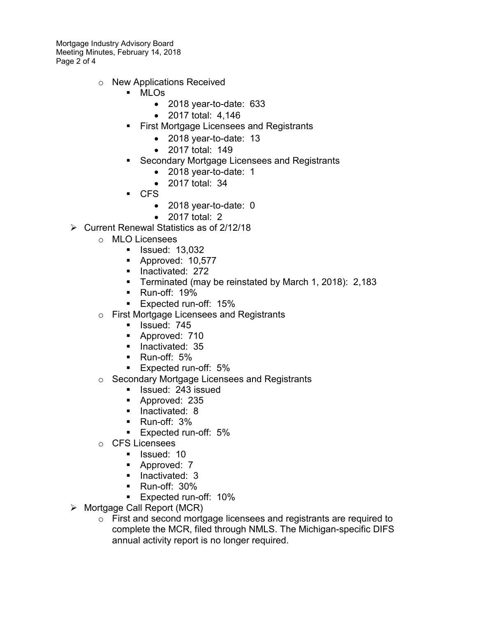Mortgage Industry Advisory Board Meeting Minutes, February 14, 2018 Page 2 of 4

- o New Applications Received
	- MLOs
		- 2018 year-to-date: 633
		- 2017 total: 4,146
	- First Mortgage Licensees and Registrants
		- 2018 year-to-date: 13
		- 2017 total: 149
	- Secondary Mortgage Licensees and Registrants
		- 2018 year-to-date: 1
		- 2017 total: 34
	- CFS
		- 2018 year-to-date: 0
		- 2017 total: 2
- Current Renewal Statistics as of 2/12/18
	- o MLO Licensees
		- **I** Issued: 13,032
		- Approved: 10,577
		- **Inactivated: 272**
		- **Terminated (may be reinstated by March 1, 2018): 2,183**
		- **Run-off: 19%**
		- **Expected run-off: 15%**
	- o First Mortgage Licensees and Registrants
		- **I**ssued: 745
		- **Approved: 710**
		- **Inactivated: 35**
		- Run-off: 5%
		- **Expected run-off: 5%**
	- o Secondary Mortgage Licensees and Registrants
		- **I** Issued: 243 issued
		- **Approved: 235**
		- $\blacksquare$  Inactivated: 8
		- Run-off: 3%
		- **Expected run-off: 5%**
	- o CFS Licensees
		- **I** Issued: 10
		- **Approved: 7**
		- **Inactivated: 3**
		- Run-off: 30%
		- **Expected run-off: 10%**
- $\triangleright$  Mortgage Call Report (MCR)
	- o First and second mortgage licensees and registrants are required to complete the MCR, filed through NMLS. The Michigan-specific DIFS annual activity report is no longer required.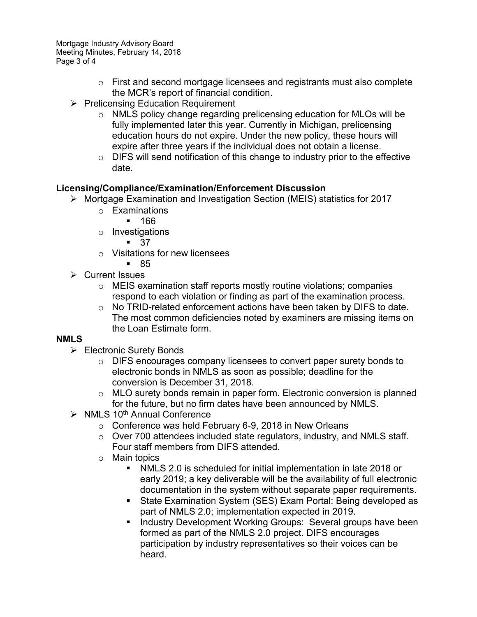Mortgage Industry Advisory Board Meeting Minutes, February 14, 2018 Page 3 of 4

- $\circ$  First and second mortgage licensees and registrants must also complete the MCR's report of financial condition.
- $\triangleright$  Prelicensing Education Requirement
	- o NMLS policy change regarding prelicensing education for MLOs will be fully implemented later this year. Currently in Michigan, prelicensing education hours do not expire. Under the new policy, these hours will expire after three years if the individual does not obtain a license.
	- $\circ$  DIFS will send notification of this change to industry prior to the effective date.

## **Licensing/Compliance/Examination/Enforcement Discussion**

- Mortgage Examination and Investigation Section (MEIS) statistics for 2017
	- o Examinations
		- 166
	- o Investigations

 $-37$ 

- o Visitations for new licensees
- 85
- $\triangleright$  Current Issues
	- o MEIS examination staff reports mostly routine violations; companies respond to each violation or finding as part of the examination process.
	- o No TRID-related enforcement actions have been taken by DIFS to date. The most common deficiencies noted by examiners are missing items on the Loan Estimate form.

## **NMLS**

- Electronic Surety Bonds
	- o DIFS encourages company licensees to convert paper surety bonds to electronic bonds in NMLS as soon as possible; deadline for the conversion is December 31, 2018.
	- o MLO surety bonds remain in paper form. Electronic conversion is planned for the future, but no firm dates have been announced by NMLS.
- $\triangleright$  NMLS 10<sup>th</sup> Annual Conference
	- $\circ$  Conference was held February 6-9, 2018 in New Orleans
	- o Over 700 attendees included state regulators, industry, and NMLS staff. Four staff members from DIFS attended.
	- o Main topics
		- NMLS 2.0 is scheduled for initial implementation in late 2018 or early 2019; a key deliverable will be the availability of full electronic documentation in the system without separate paper requirements.
		- State Examination System (SES) Exam Portal: Being developed as part of NMLS 2.0; implementation expected in 2019.
		- **Industry Development Working Groups: Several groups have been** formed as part of the NMLS 2.0 project. DIFS encourages participation by industry representatives so their voices can be heard.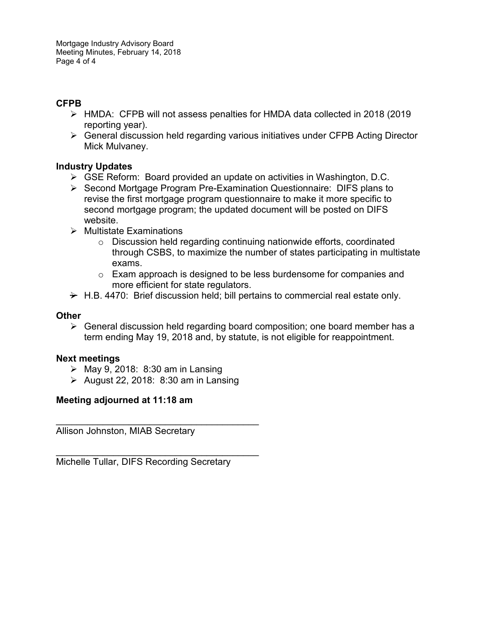# **CFPB**

- HMDA: CFPB will not assess penalties for HMDA data collected in 2018 (2019 reporting year).
- General discussion held regarding various initiatives under CFPB Acting Director Mick Mulvaney.

## **Industry Updates**

- $\triangleright$  GSE Reform: Board provided an update on activities in Washington, D.C.
- $\triangleright$  Second Mortgage Program Pre-Examination Questionnaire: DIFS plans to revise the first mortgage program questionnaire to make it more specific to second mortgage program; the updated document will be posted on DIFS website.
- $\triangleright$  Multistate Examinations
	- $\circ$  Discussion held regarding continuing nationwide efforts, coordinated through CSBS, to maximize the number of states participating in multistate exams.
	- o Exam approach is designed to be less burdensome for companies and more efficient for state regulators.
- $\rightarrow$  H.B. 4470: Brief discussion held; bill pertains to commercial real estate only.

## **Other**

 $\triangleright$  General discussion held regarding board composition; one board member has a term ending May 19, 2018 and, by statute, is not eligible for reappointment.

## **Next meetings**

- $\triangleright$  May 9, 2018: 8:30 am in Lansing
- $\triangleright$  August 22, 2018: 8:30 am in Lansing

## **Meeting adjourned at 11:18 am**

\_\_\_\_\_\_\_\_\_\_\_\_\_\_\_\_\_\_\_\_\_\_\_\_\_\_\_\_\_\_\_\_\_\_\_\_\_\_\_ Allison Johnston, MIAB Secretary

Michelle Tullar, DIFS Recording Secretary

\_\_\_\_\_\_\_\_\_\_\_\_\_\_\_\_\_\_\_\_\_\_\_\_\_\_\_\_\_\_\_\_\_\_\_\_\_\_\_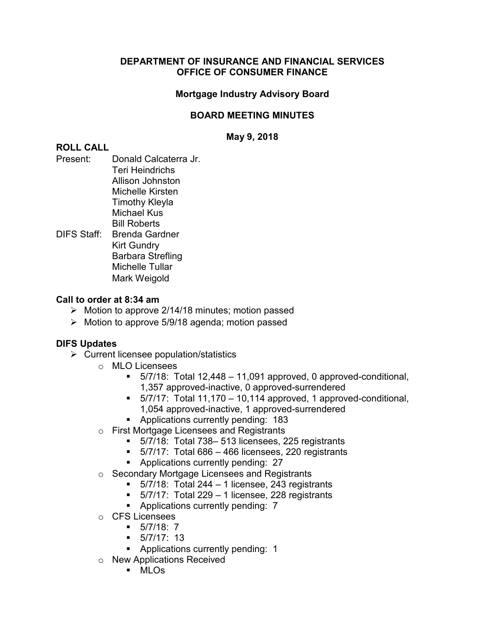## **Mortgage Industry Advisory Board**

## **BOARD MEETING MINUTES**

**May 9, 2018**

## **ROLL CALL**

- Present: Donald Calcaterra Jr. Teri Heindrichs Allison Johnston Michelle Kirsten Timothy Kleyla Michael Kus Bill Roberts DIFS Staff: Brenda Gardner
- Kirt Gundry Barbara Strefling Michelle Tullar Mark Weigold

## **Call to order at 8:34 am**

- $\triangleright$  Motion to approve 2/14/18 minutes; motion passed
- $\triangleright$  Motion to approve 5/9/18 agenda; motion passed

- $\triangleright$  Current licensee population/statistics
	- o MLO Licensees
		- $\blacksquare$  5/7/18: Total 12,448 11,091 approved, 0 approved-conditional, 1,357 approved-inactive, 0 approved-surrendered
		- $\blacksquare$  5/7/17: Total 11,170 10,114 approved, 1 approved-conditional, 1,054 approved-inactive, 1 approved-surrendered
		- **Applications currently pending: 183**
	- o First Mortgage Licensees and Registrants
		- 5/7/18: Total 738– 513 licensees, 225 registrants
		- $\blacksquare$  5/7/17: Total 686 466 licensees, 220 registrants
		- **Applications currently pending: 27**
	- o Secondary Mortgage Licensees and Registrants
		- $\blacksquare$  5/7/18: Total 244 1 licensee, 243 registrants
		- $\blacksquare$  5/7/17: Total 229 1 licensee, 228 registrants
		- **Applications currently pending: 7**
	- o CFS Licensees
		- $-5/7/18$ : 7
		- $-5/7/17:13$
		- Applications currently pending: 1
	- o New Applications Received
		- MLOs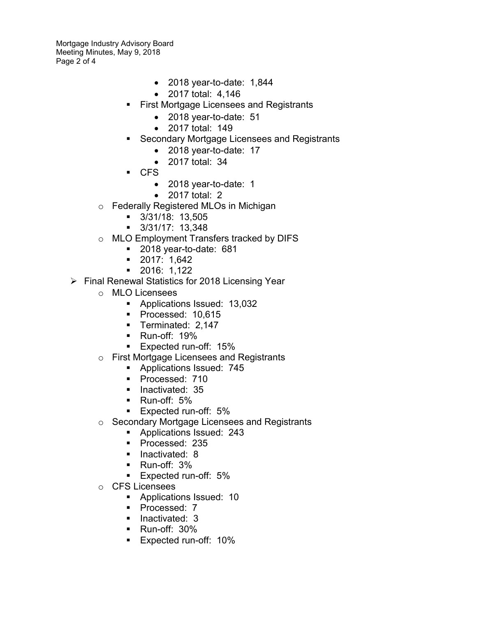Mortgage Industry Advisory Board Meeting Minutes, May 9, 2018 Page 2 of 4

- 2018 year-to-date: 1,844
- 2017 total: 4,146
- First Mortgage Licensees and Registrants
	- 2018 year-to-date: 51
	- 2017 total: 149
- Secondary Mortgage Licensees and Registrants
	- 2018 year-to-date: 17
		- 2017 total: 34
- CFS
	- 2018 year-to-date: 1
	- 2017 total: 2
- o Federally Registered MLOs in Michigan
	- 3/31/18: 13,505
	- 3/31/17: 13,348
- o MLO Employment Transfers tracked by DIFS
	- 2018 year-to-date: 681
	- 2017: 1,642
	- 2016: 1,122
- $\triangleright$  Final Renewal Statistics for 2018 Licensing Year
	- o MLO Licensees
		- Applications Issued: 13,032
		- Processed: 10,615
		- **Terminated: 2,147**
		- Run-off: 19%
		- **Expected run-off: 15%**
	- o First Mortgage Licensees and Registrants
		- **Applications Issued: 745**
		- Processed: 710
		- **Inactivated: 35**
		- **Run-off: 5%**
		- **Expected run-off: 5%**
	- o Secondary Mortgage Licensees and Registrants
		- **Applications Issued: 243**
		- Processed: 235
		- **Inactivated: 8**
		- Run-off: 3%
		- **Expected run-off: 5%**
	- o CFS Licensees
		- **Applications Issued: 10**
		- Processed: 7
		- **Inactivated: 3**
		- **Run-off: 30%**
		- **Expected run-off: 10%**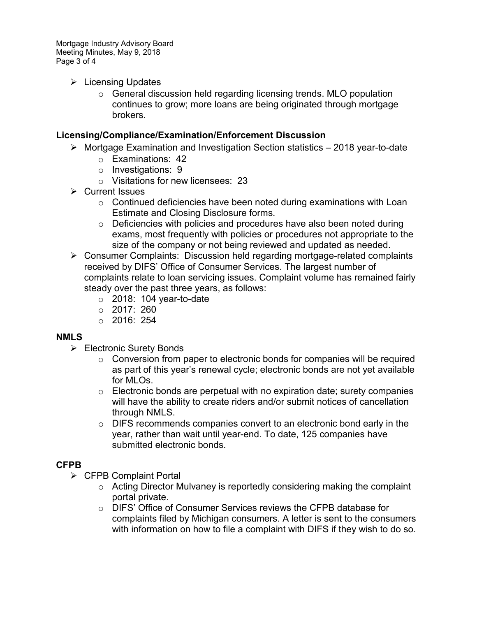Mortgage Industry Advisory Board Meeting Minutes, May 9, 2018 Page 3 of 4

- $\triangleright$  Licensing Updates
	- $\circ$  General discussion held regarding licensing trends. MLO population continues to grow; more loans are being originated through mortgage brokers.

## **Licensing/Compliance/Examination/Enforcement Discussion**

- $\triangleright$  Mortgage Examination and Investigation Section statistics 2018 year-to-date
	- o Examinations: 42
	- o Investigations: 9
	- o Visitations for new licensees: 23
- **▶ Current Issues** 
	- $\circ$  Continued deficiencies have been noted during examinations with Loan Estimate and Closing Disclosure forms.
	- o Deficiencies with policies and procedures have also been noted during exams, most frequently with policies or procedures not appropriate to the size of the company or not being reviewed and updated as needed.
- Consumer Complaints: Discussion held regarding mortgage-related complaints received by DIFS' Office of Consumer Services. The largest number of complaints relate to loan servicing issues. Complaint volume has remained fairly steady over the past three years, as follows:
	- $\circ$  2018: 104 year-to-date
	- $O$  2017: 260
	- $\circ$  2016: 254

## **NMLS**

- **► Electronic Surety Bonds** 
	- $\circ$  Conversion from paper to electronic bonds for companies will be required as part of this year's renewal cycle; electronic bonds are not yet available for MLOs.
	- $\circ$  Electronic bonds are perpetual with no expiration date; surety companies will have the ability to create riders and/or submit notices of cancellation through NMLS.
	- $\circ$  DIFS recommends companies convert to an electronic bond early in the year, rather than wait until year-end. To date, 125 companies have submitted electronic bonds.

# **CFPB**

- $\triangleright$  CFPB Complaint Portal
	- $\circ$  Acting Director Mulvaney is reportedly considering making the complaint portal private.
	- o DIFS' Office of Consumer Services reviews the CFPB database for complaints filed by Michigan consumers. A letter is sent to the consumers with information on how to file a complaint with DIFS if they wish to do so.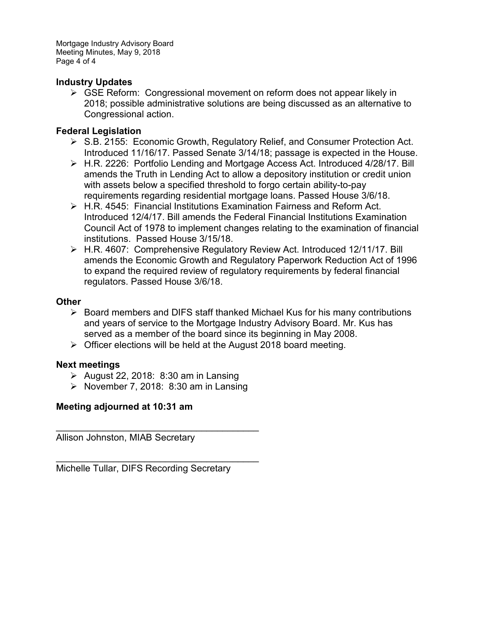Mortgage Industry Advisory Board Meeting Minutes, May 9, 2018 Page 4 of 4

## **Industry Updates**

 $\triangleright$  GSE Reform: Congressional movement on reform does not appear likely in 2018; possible administrative solutions are being discussed as an alternative to Congressional action.

#### **Federal Legislation**

- ▶ S.B. 2155: Economic Growth, Regulatory Relief, and Consumer Protection Act. Introduced 11/16/17. Passed Senate 3/14/18; passage is expected in the House.
- H.R. 2226: Portfolio Lending and Mortgage Access Act. Introduced 4/28/17. Bill amends the Truth in Lending Act to allow a depository institution or credit union with assets below a specified threshold to forgo certain ability-to-pay requirements regarding residential mortgage loans. Passed House 3/6/18.
- H.R. 4545: Financial Institutions Examination Fairness and Reform Act. Introduced 12/4/17. Bill amends the Federal Financial Institutions Examination Council Act of 1978 to implement changes relating to the examination of financial institutions. Passed House 3/15/18.
- H.R. 4607: Comprehensive Regulatory Review Act. Introduced 12/11/17. Bill amends the Economic Growth and Regulatory Paperwork Reduction Act of 1996 to expand the required review of regulatory requirements by federal financial regulators. Passed House 3/6/18.

#### **Other**

- $\triangleright$  Board members and DIFS staff thanked Michael Kus for his many contributions and years of service to the Mortgage Industry Advisory Board. Mr. Kus has served as a member of the board since its beginning in May 2008.
- $\triangleright$  Officer elections will be held at the August 2018 board meeting.

#### **Next meetings**

- $\triangleright$  August 22, 2018: 8:30 am in Lansing
- November 7, 2018: 8:30 am in Lansing

\_\_\_\_\_\_\_\_\_\_\_\_\_\_\_\_\_\_\_\_\_\_\_\_\_\_\_\_\_\_\_\_\_\_\_\_\_\_\_

\_\_\_\_\_\_\_\_\_\_\_\_\_\_\_\_\_\_\_\_\_\_\_\_\_\_\_\_\_\_\_\_\_\_\_\_\_\_\_

## **Meeting adjourned at 10:31 am**

Allison Johnston, MIAB Secretary

Michelle Tullar, DIFS Recording Secretary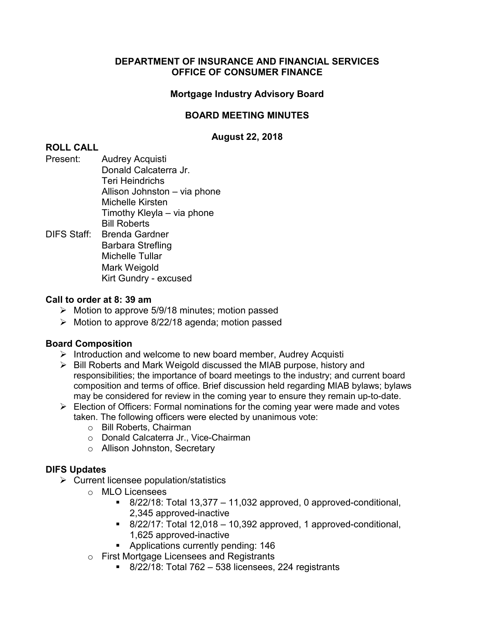## **Mortgage Industry Advisory Board**

## **BOARD MEETING MINUTES**

## **August 22, 2018**

## **ROLL CALL**

- Present: Audrey Acquisti Donald Calcaterra Jr. Teri Heindrichs Allison Johnston – via phone Michelle Kirsten Timothy Kleyla – via phone Bill Roberts DIFS Staff: Brenda Gardner
- Barbara Strefling Michelle Tullar Mark Weigold Kirt Gundry - excused

#### **Call to order at 8: 39 am**

- $\triangleright$  Motion to approve 5/9/18 minutes; motion passed
- $\triangleright$  Motion to approve 8/22/18 agenda; motion passed

## **Board Composition**

- $\triangleright$  Introduction and welcome to new board member, Audrey Acquisti
- $\triangleright$  Bill Roberts and Mark Weigold discussed the MIAB purpose, history and responsibilities; the importance of board meetings to the industry; and current board composition and terms of office. Brief discussion held regarding MIAB bylaws; bylaws may be considered for review in the coming year to ensure they remain up-to-date.
- $\triangleright$  Election of Officers: Formal nominations for the coming year were made and votes taken. The following officers were elected by unanimous vote:
	- o Bill Roberts, Chairman
	- o Donald Calcaterra Jr., Vice-Chairman
	- o Allison Johnston, Secretary

- $\triangleright$  Current licensee population/statistics
	- $\circ$  MLO Licensees
		- $\blacksquare$  8/22/18: Total 13,377 11,032 approved, 0 approved-conditional, 2,345 approved-inactive
		- $\blacksquare$  8/22/17: Total 12,018 10,392 approved, 1 approved-conditional, 1,625 approved-inactive
		- **Applications currently pending: 146**
	- o First Mortgage Licensees and Registrants
		- $\blacksquare$  8/22/18: Total 762 538 licensees, 224 registrants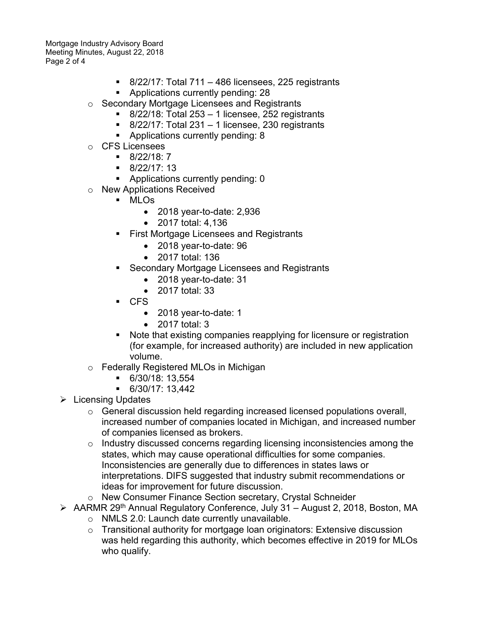Mortgage Industry Advisory Board Meeting Minutes, August 22, 2018 Page 2 of 4

- $\blacksquare$  8/22/17: Total 711 486 licensees, 225 registrants
- **•** Applications currently pending: 28
- o Secondary Mortgage Licensees and Registrants
	- $8/22/18$ : Total 253 1 licensee, 252 registrants
	- $\blacksquare$  8/22/17: Total 231 1 licensee, 230 registrants
	- **Applications currently pending: 8**
- o CFS Licensees
	- $\blacksquare$  8/22/18: 7
	- $-8/22/17:13$
	- **Applications currently pending: 0**
- o New Applications Received
	- MLOs
		- 2018 year-to-date: 2,936
		- 2017 total: 4,136
	- First Mortgage Licensees and Registrants
		- 2018 year-to-date: 96
		- 2017 total: 136
	- Secondary Mortgage Licensees and Registrants
		- 2018 year-to-date: 31
		- 2017 total: 33
	- CFS
		- 2018 year-to-date: 1
		- 2017 total: 3
	- Note that existing companies reapplying for licensure or registration (for example, for increased authority) are included in new application volume.
- o Federally Registered MLOs in Michigan
	- 6/30/18: 13,554
	- 6/30/17: 13,442
- $\triangleright$  Licensing Updates
	- o General discussion held regarding increased licensed populations overall, increased number of companies located in Michigan, and increased number of companies licensed as brokers.
	- o Industry discussed concerns regarding licensing inconsistencies among the states, which may cause operational difficulties for some companies. Inconsistencies are generally due to differences in states laws or interpretations. DIFS suggested that industry submit recommendations or ideas for improvement for future discussion.
	- o New Consumer Finance Section secretary, Crystal Schneider
- AARMR 29<sup>th</sup> Annual Regulatory Conference, July 31 August 2, 2018, Boston, MA
	- o NMLS 2.0: Launch date currently unavailable.
	- $\circ$  Transitional authority for mortgage loan originators: Extensive discussion was held regarding this authority, which becomes effective in 2019 for MLOs who qualify.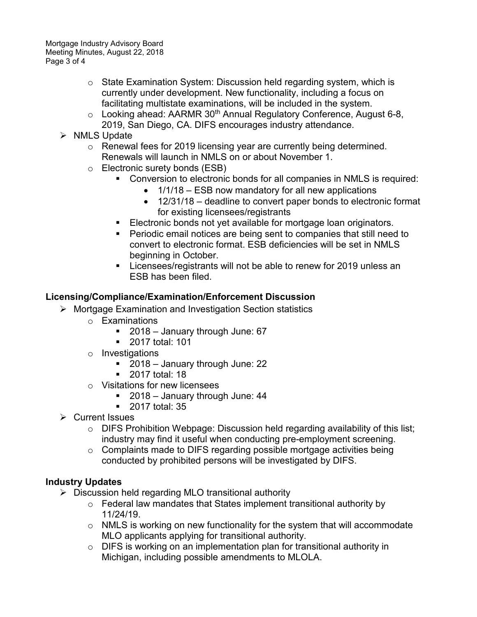- o State Examination System: Discussion held regarding system, which is currently under development. New functionality, including a focus on facilitating multistate examinations, will be included in the system.
- $\circ$  Looking ahead: AARMR 30<sup>th</sup> Annual Regulatory Conference, August 6-8, 2019, San Diego, CA. DIFS encourages industry attendance.
- $\triangleright$  NMLS Update
	- $\circ$  Renewal fees for 2019 licensing year are currently being determined. Renewals will launch in NMLS on or about November 1.
	- Electronic surety bonds (ESB)<br>Conversion to electronic
		- Conversion to electronic bonds for all companies in NMLS is required:
			- 1/1/18 ESB now mandatory for all new applications
			- 12/31/18 deadline to convert paper bonds to electronic format for existing licensees/registrants
		- **Electronic bonds not yet available for mortgage loan originators.**
		- **Periodic email notices are being sent to companies that still need to** convert to electronic format. ESB deficiencies will be set in NMLS beginning in October.
		- **Licensees/registrants will not be able to renew for 2019 unless an** ESB has been filed.

## **Licensing/Compliance/Examination/Enforcement Discussion**

- Mortgage Examination and Investigation Section statistics
	- o Examinations
		- 2018 January through June: 67
		- **2017 total: 101**
	- o Investigations
		- 2018 January through June: 22
		- **2017 total: 18**
	- o Visitations for new licensees
		- 2018 January through June: 44
		- **2017 total: 35**
- **▶ Current Issues** 
	- o DIFS Prohibition Webpage: Discussion held regarding availability of this list; industry may find it useful when conducting pre-employment screening.
	- o Complaints made to DIFS regarding possible mortgage activities being conducted by prohibited persons will be investigated by DIFS.

# **Industry Updates**

- $\triangleright$  Discussion held regarding MLO transitional authority
	- o Federal law mandates that States implement transitional authority by 11/24/19.
	- o NMLS is working on new functionality for the system that will accommodate MLO applicants applying for transitional authority.
	- o DIFS is working on an implementation plan for transitional authority in Michigan, including possible amendments to MLOLA.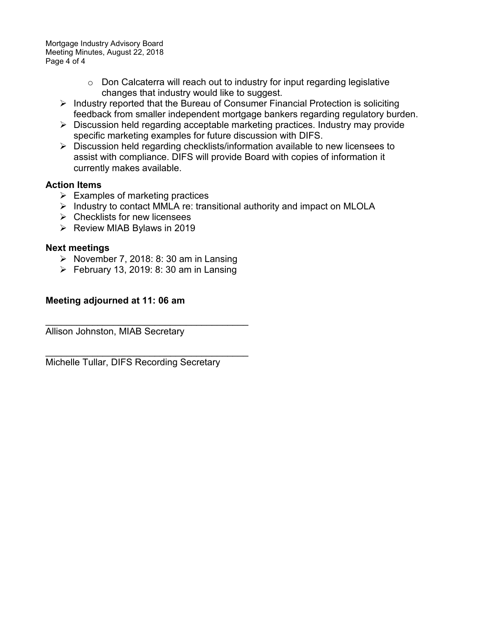Mortgage Industry Advisory Board Meeting Minutes, August 22, 2018 Page 4 of 4

- $\circ$  Don Calcaterra will reach out to industry for input regarding legislative changes that industry would like to suggest.
- $\triangleright$  Industry reported that the Bureau of Consumer Financial Protection is soliciting feedback from smaller independent mortgage bankers regarding regulatory burden.
- $\triangleright$  Discussion held regarding acceptable marketing practices. Industry may provide specific marketing examples for future discussion with DIFS.
- $\triangleright$  Discussion held regarding checklists/information available to new licensees to assist with compliance. DIFS will provide Board with copies of information it currently makes available.

## **Action Items**

- $\triangleright$  Examples of marketing practices
- $\triangleright$  Industry to contact MMLA re: transitional authority and impact on MLOLA
- $\triangleright$  Checklists for new licensees
- $\triangleright$  Review MIAB Bylaws in 2019

#### **Next meetings**

- November 7, 2018: 8: 30 am in Lansing
- $\triangleright$  February 13, 2019: 8: 30 am in Lansing

#### **Meeting adjourned at 11: 06 am**

\_\_\_\_\_\_\_\_\_\_\_\_\_\_\_\_\_\_\_\_\_\_\_\_\_\_\_\_\_\_\_\_\_\_\_\_\_\_\_ Allison Johnston, MIAB Secretary

\_\_\_\_\_\_\_\_\_\_\_\_\_\_\_\_\_\_\_\_\_\_\_\_\_\_\_\_\_\_\_\_\_\_\_\_\_\_\_ Michelle Tullar, DIFS Recording Secretary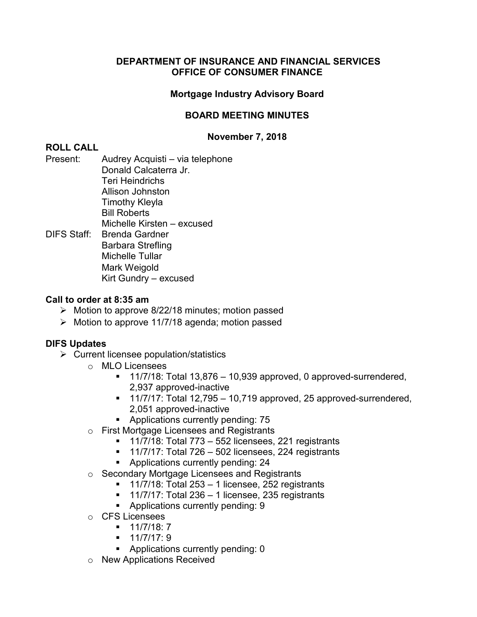## **Mortgage Industry Advisory Board**

## **BOARD MEETING MINUTES**

## **November 7, 2018**

# **ROLL CALL**

Present: Audrey Acquisti – via telephone Donald Calcaterra Jr. Teri Heindrichs Allison Johnston Timothy Kleyla Bill Roberts Michelle Kirsten – excused DIFS Staff: Brenda Gardner Barbara Strefling Michelle Tullar Mark Weigold

## Kirt Gundry – excused

## **Call to order at 8:35 am**

- $\triangleright$  Motion to approve 8/22/18 minutes; motion passed
- $\triangleright$  Motion to approve 11/7/18 agenda; motion passed

- $\triangleright$  Current licensee population/statistics
	- o MLO Licensees
		- $\blacksquare$  11/7/18: Total 13,876 10,939 approved, 0 approved-surrendered, 2,937 approved-inactive
		- $\blacksquare$  11/7/17: Total 12,795 10,719 approved, 25 approved-surrendered, 2,051 approved-inactive
		- **Applications currently pending: 75**
	- o First Mortgage Licensees and Registrants
		- $\blacksquare$  11/7/18: Total 773 552 licensees, 221 registrants
		- $\blacksquare$  11/7/17: Total 726 502 licensees, 224 registrants
		- **Applications currently pending: 24**
	- o Secondary Mortgage Licensees and Registrants
		- $\blacksquare$  11/7/18: Total 253 1 licensee, 252 registrants
		- $\blacksquare$  11/7/17: Total 236 1 licensee, 235 registrants
		- **Applications currently pending: 9**
	- o CFS Licensees
		- $-11/7/18:7$
		- $-11/7/17:9$
		- **Applications currently pending: 0**
	- o New Applications Received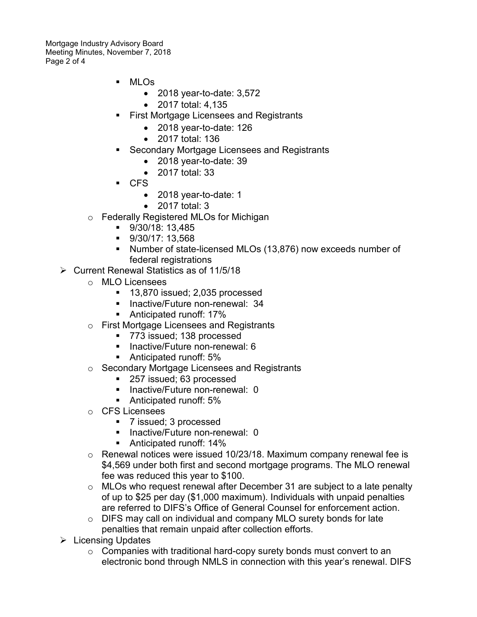Mortgage Industry Advisory Board Meeting Minutes, November 7, 2018 Page 2 of 4

- MLOs
	- 2018 year-to-date: 3,572
	- 2017 total: 4,135
- First Mortgage Licensees and Registrants
	- 2018 year-to-date: 126
	- 2017 total: 136
- Secondary Mortgage Licensees and Registrants
	- 2018 year-to-date: 39
	- 2017 total: 33
- CFS
	- 2018 year-to-date: 1
	- 2017 total: 3
- o Federally Registered MLOs for Michigan
	- 9/30/18: 13,485
	- $9/30/17: 13,568$
	- Number of state-licensed MLOs (13,876) now exceeds number of federal registrations
- $\triangleright$  Current Renewal Statistics as of 11/5/18
	- o MLO Licensees
		- <sup>1</sup> 13,870 issued; 2,035 processed
		- **Inactive/Future non-renewal: 34**
		- Anticipated runoff: 17%
	- o First Mortgage Licensees and Registrants
		- 773 issued; 138 processed
		- $\blacksquare$  Inactive/Future non-renewal: 6
		- **Anticipated runoff: 5%**
	- o Secondary Mortgage Licensees and Registrants
		- 257 issued; 63 processed
		- **Inactive/Future non-renewal: 0**
		- Anticipated runoff: 5%
	- o CFS Licensees
		- 7 issued; 3 processed
		- **Inactive/Future non-renewal: 0**
		- Anticipated runoff: 14%
	- o Renewal notices were issued 10/23/18. Maximum company renewal fee is \$4,569 under both first and second mortgage programs. The MLO renewal fee was reduced this year to \$100.
	- o MLOs who request renewal after December 31 are subject to a late penalty of up to \$25 per day (\$1,000 maximum). Individuals with unpaid penalties are referred to DIFS's Office of General Counsel for enforcement action.
	- o DIFS may call on individual and company MLO surety bonds for late penalties that remain unpaid after collection efforts.
- $\triangleright$  Licensing Updates
	- $\circ$  Companies with traditional hard-copy surety bonds must convert to an electronic bond through NMLS in connection with this year's renewal. DIFS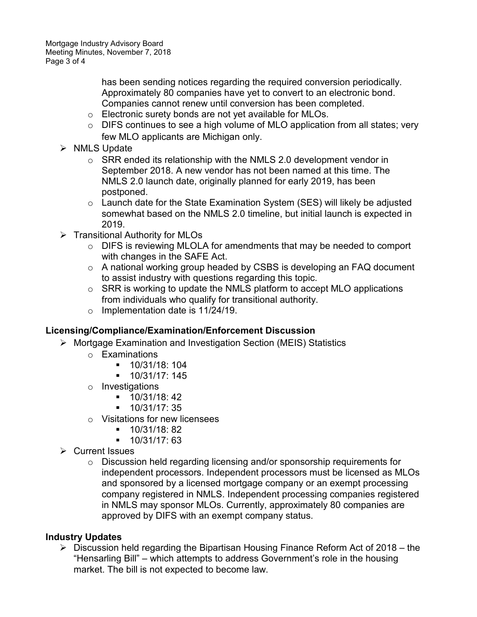has been sending notices regarding the required conversion periodically. Approximately 80 companies have yet to convert to an electronic bond. Companies cannot renew until conversion has been completed.

- o Electronic surety bonds are not yet available for MLOs.
- o DIFS continues to see a high volume of MLO application from all states; very few MLO applicants are Michigan only.
- $\triangleright$  NMLS Update
	- $\circ$  SRR ended its relationship with the NMLS 2.0 development vendor in September 2018. A new vendor has not been named at this time. The NMLS 2.0 launch date, originally planned for early 2019, has been postponed.
	- o Launch date for the State Examination System (SES) will likely be adjusted somewhat based on the NMLS 2.0 timeline, but initial launch is expected in 2019.
- $\triangleright$  Transitional Authority for MLOs
	- o DIFS is reviewing MLOLA for amendments that may be needed to comport with changes in the SAFE Act.
	- o A national working group headed by CSBS is developing an FAQ document to assist industry with questions regarding this topic.
	- o SRR is working to update the NMLS platform to accept MLO applications from individuals who qualify for transitional authority.
	- $\circ$  Implementation date is 11/24/19.

# **Licensing/Compliance/Examination/Enforcement Discussion**

- Mortgage Examination and Investigation Section (MEIS) Statistics
	- o Examinations
		- 10/31/18: 104
		- 10/31/17: 145
	- o Investigations
		- $-10/31/18:42$
		- $-10/31/17:35$
	- o Visitations for new licensees
		- $-10/31/18: 82$
		- $-10/31/17:63$
- **▶ Current Issues** 
	- o Discussion held regarding licensing and/or sponsorship requirements for independent processors. Independent processors must be licensed as MLOs and sponsored by a licensed mortgage company or an exempt processing company registered in NMLS. Independent processing companies registered in NMLS may sponsor MLOs. Currently, approximately 80 companies are approved by DIFS with an exempt company status.

# **Industry Updates**

 $\triangleright$  Discussion held regarding the Bipartisan Housing Finance Reform Act of 2018 – the "Hensarling Bill" – which attempts to address Government's role in the housing market. The bill is not expected to become law.